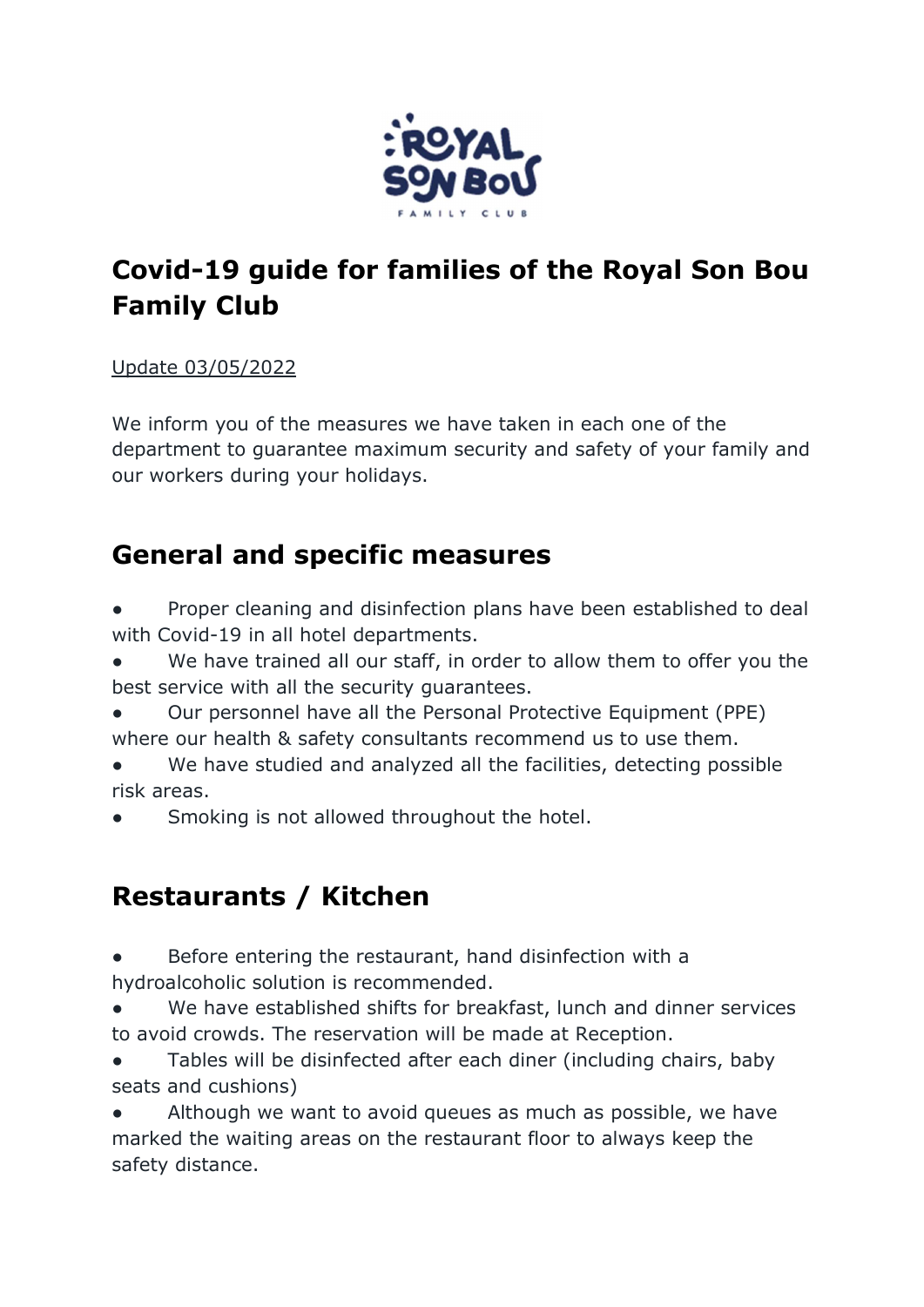

# Covid-19 guide for families of the Royal Son Bou Family Club

#### Update 03/05/2022

We inform you of the measures we have taken in each one of the department to guarantee maximum security and safety of your family and our workers during your holidays.

#### General and specific measures

- Proper cleaning and disinfection plans have been established to deal with Covid-19 in all hotel departments.
- We have trained all our staff, in order to allow them to offer you the best service with all the security guarantees.
- Our personnel have all the Personal Protective Equipment (PPE) where our health & safety consultants recommend us to use them.
- We have studied and analyzed all the facilities, detecting possible risk areas.
- Smoking is not allowed throughout the hotel.

# Restaurants / Kitchen

- Before entering the restaurant, hand disinfection with a hydroalcoholic solution is recommended.
- We have established shifts for breakfast, lunch and dinner services to avoid crowds. The reservation will be made at Reception.
- Tables will be disinfected after each diner (including chairs, baby seats and cushions)
- Although we want to avoid queues as much as possible, we have marked the waiting areas on the restaurant floor to always keep the safety distance.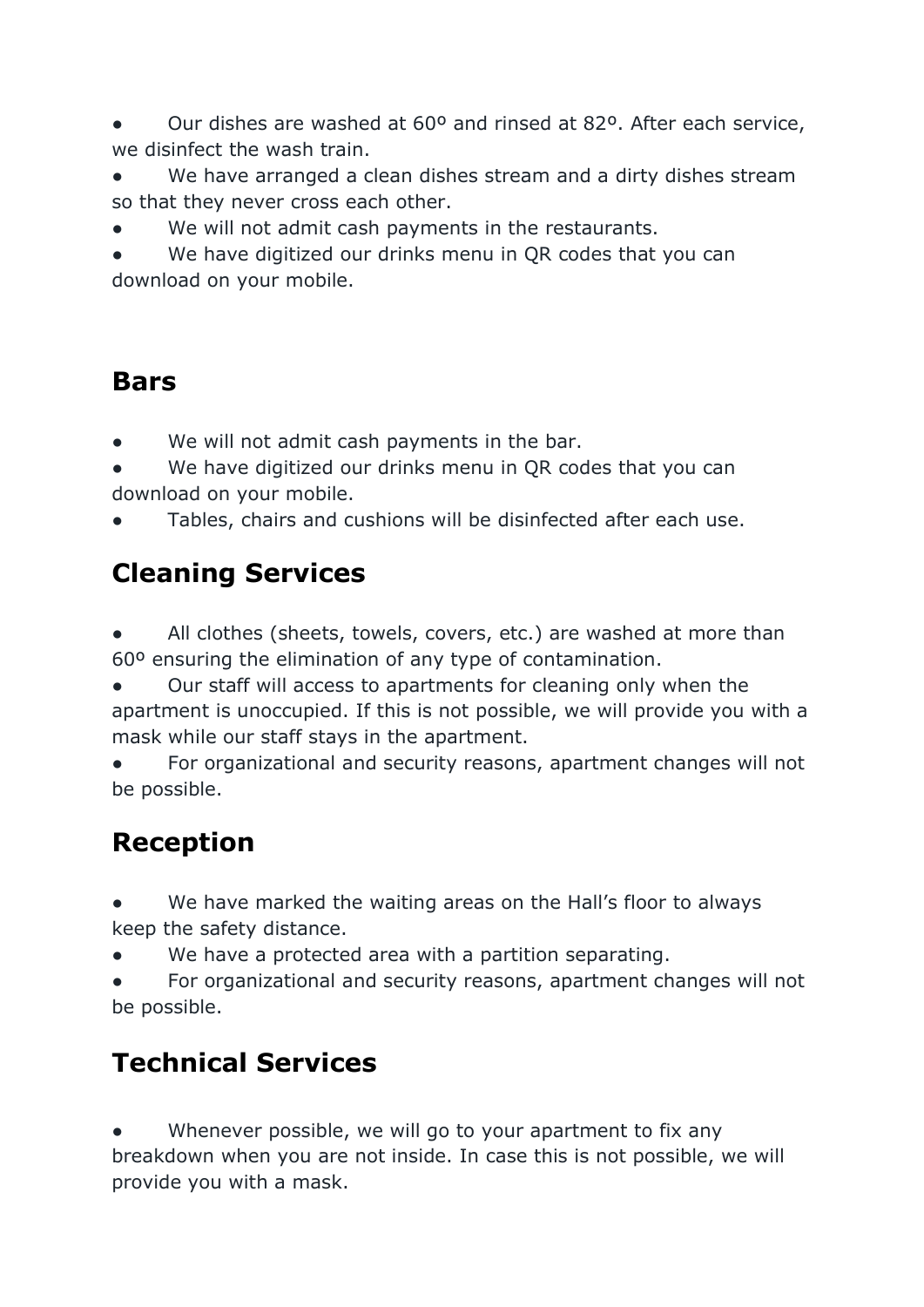Our dishes are washed at 60<sup>o</sup> and rinsed at 82<sup>o</sup>. After each service, we disinfect the wash train.

We have arranged a clean dishes stream and a dirty dishes stream so that they never cross each other.

We will not admit cash payments in the restaurants.

● We have digitized our drinks menu in QR codes that you can download on your mobile.

#### Bars

We will not admit cash payments in the bar.

● We have digitized our drinks menu in QR codes that you can download on your mobile.

Tables, chairs and cushions will be disinfected after each use.

## Cleaning Services

All clothes (sheets, towels, covers, etc.) are washed at more than 60º ensuring the elimination of any type of contamination.

Our staff will access to apartments for cleaning only when the apartment is unoccupied. If this is not possible, we will provide you with a mask while our staff stays in the apartment.

For organizational and security reasons, apartment changes will not be possible.

## Reception

We have marked the waiting areas on the Hall's floor to always keep the safety distance.

We have a protected area with a partition separating.

For organizational and security reasons, apartment changes will not be possible.

## Technical Services

• Whenever possible, we will go to your apartment to fix any breakdown when you are not inside. In case this is not possible, we will provide you with a mask.